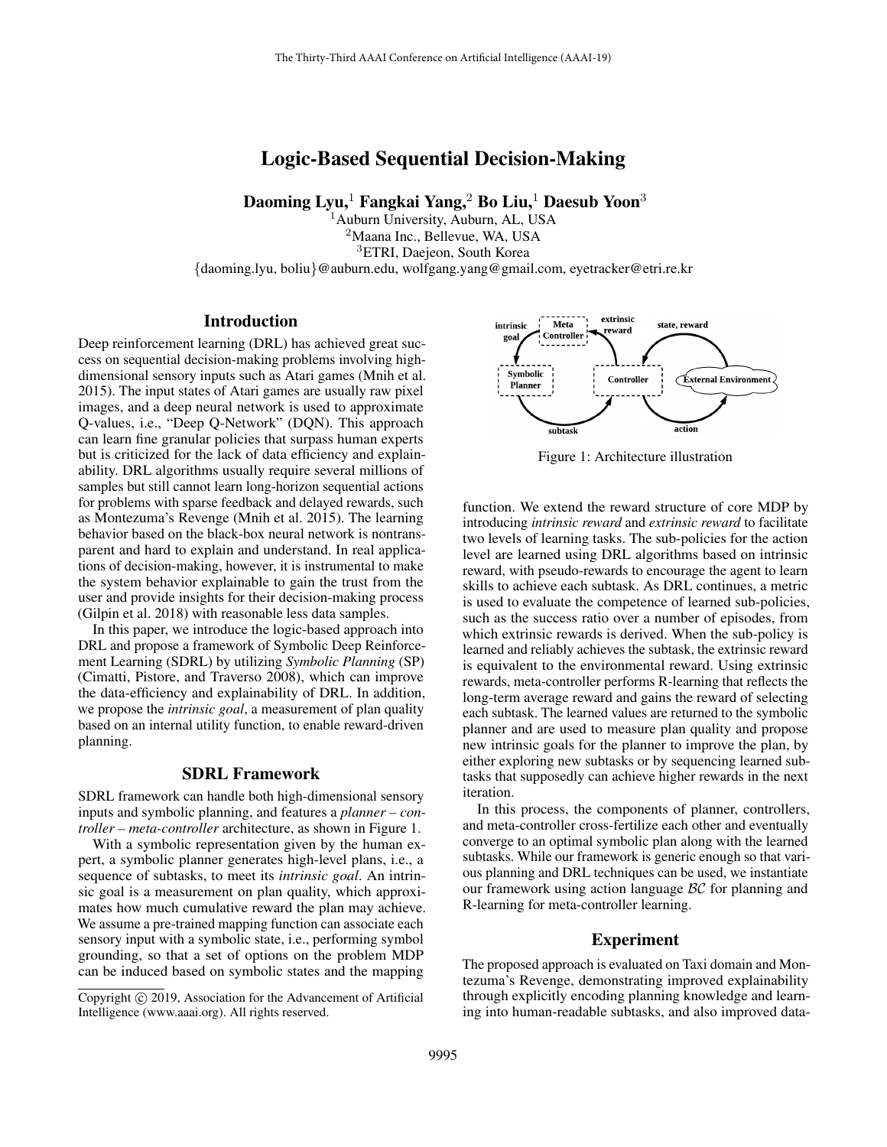# Logic-Based Sequential Decision-Making

Daoming Lyu,<sup>1</sup> Fangkai Yang,<sup>2</sup> Bo Liu,<sup>1</sup> Daesub Yoon<sup>3</sup>

<sup>1</sup> Auburn University, Auburn, AL, USA <sup>2</sup>Maana Inc., Bellevue, WA, USA <sup>3</sup>ETRI, Daejeon, South Korea {daoming.lyu, boliu}@auburn.edu, wolfgang.yang@gmail.com, eyetracker@etri.re.kr

# **Introduction**

Deep reinforcement learning (DRL) has achieved great success on sequential decision-making problems involving highdimensional sensory inputs such as Atari games (Mnih et al. 2015). The input states of Atari games are usually raw pixel images, and a deep neural network is used to approximate Q-values, i.e., "Deep Q-Network" (DQN). This approach can learn fine granular policies that surpass human experts but is criticized for the lack of data efficiency and explainability. DRL algorithms usually require several millions of samples but still cannot learn long-horizon sequential actions for problems with sparse feedback and delayed rewards, such as Montezuma's Revenge (Mnih et al. 2015). The learning behavior based on the black-box neural network is nontransparent and hard to explain and understand. In real applications of decision-making, however, it is instrumental to make the system behavior explainable to gain the trust from the user and provide insights for their decision-making process (Gilpin et al. 2018) with reasonable less data samples.

In this paper, we introduce the logic-based approach into DRL and propose a framework of Symbolic Deep Reinforcement Learning (SDRL) by utilizing *Symbolic Planning* (SP) (Cimatti, Pistore, and Traverso 2008), which can improve the data-efficiency and explainability of DRL. In addition, we propose the *intrinsic goal*, a measurement of plan quality based on an internal utility function, to enable reward-driven planning.

### SDRL Framework

SDRL framework can handle both high-dimensional sensory inputs and symbolic planning, and features a *planner – controller – meta-controller* architecture, as shown in Figure 1.

With a symbolic representation given by the human expert, a symbolic planner generates high-level plans, i.e., a sequence of subtasks, to meet its *intrinsic goal*. An intrinsic goal is a measurement on plan quality, which approximates how much cumulative reward the plan may achieve. We assume a pre-trained mapping function can associate each sensory input with a symbolic state, i.e., performing symbol grounding, so that a set of options on the problem MDP can be induced based on symbolic states and the mapping



Figure 1: Architecture illustration

function. We extend the reward structure of core MDP by introducing *intrinsic reward* and *extrinsic reward* to facilitate two levels of learning tasks. The sub-policies for the action level are learned using DRL algorithms based on intrinsic reward, with pseudo-rewards to encourage the agent to learn skills to achieve each subtask. As DRL continues, a metric is used to evaluate the competence of learned sub-policies, such as the success ratio over a number of episodes, from which extrinsic rewards is derived. When the sub-policy is learned and reliably achieves the subtask, the extrinsic reward is equivalent to the environmental reward. Using extrinsic rewards, meta-controller performs R-learning that reflects the long-term average reward and gains the reward of selecting each subtask. The learned values are returned to the symbolic planner and are used to measure plan quality and propose new intrinsic goals for the planner to improve the plan, by either exploring new subtasks or by sequencing learned subtasks that supposedly can achieve higher rewards in the next iteration.

In this process, the components of planner, controllers, and meta-controller cross-fertilize each other and eventually converge to an optimal symbolic plan along with the learned subtasks. While our framework is generic enough so that various planning and DRL techniques can be used, we instantiate our framework using action language BC for planning and R-learning for meta-controller learning.

#### Experiment

The proposed approach is evaluated on Taxi domain and Montezuma's Revenge, demonstrating improved explainability through explicitly encoding planning knowledge and learning into human-readable subtasks, and also improved data-

Copyright (c) 2019, Association for the Advancement of Artificial Intelligence (www.aaai.org). All rights reserved.